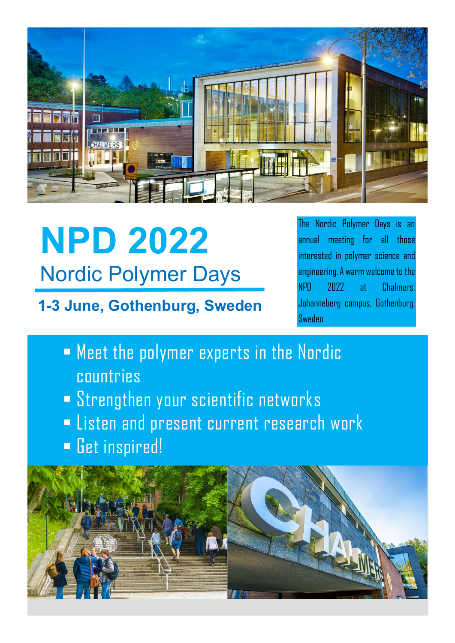

# **NPD 2022** Nordic Polymer Days

**1-3 June, Gothenburg, Sweden**

The Nordic Polymer Days is an annual meeting for all those interested in polymer science and engineering. A warm welcome to the NPD 2022 at Chalmers, Johanneberg campus, Gothenburg, Sweden

- Meet the polymer experts in the Nordic countries
- **EXTERGHER SCHAULE SCIENTIFIC RETAINGLY**
- **Extemand present current research work**
- Get inspired!